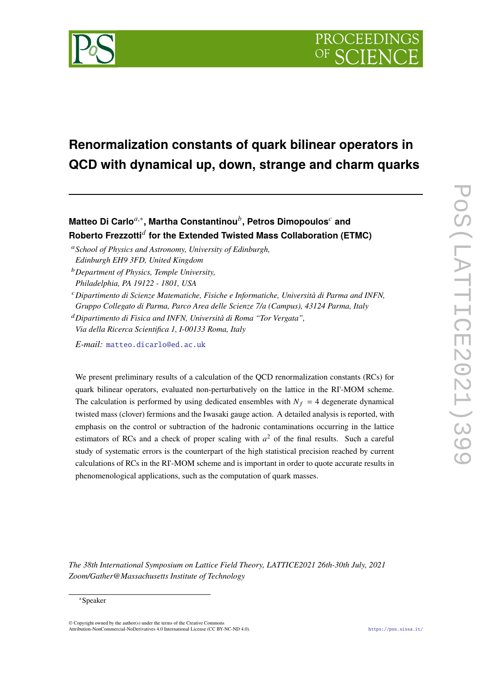

# **Renormalization constants of quark bilinear operators in QCD with dynamical up, down, strange and charm quarks**

**Matteo Di Carlo**𝑎,<sup>∗</sup> **, Martha Constantinou**<sup>𝑏</sup> **, Petros Dimopoulos**<sup>𝑐</sup> **and Roberto Frezzotti**<sup>𝑑</sup> **for the Extended Twisted Mass Collaboration (ETMC)**

- <sup>*a*</sup> School of Physics and Astronomy, University of Edinburgh, *Edinburgh EH9 3FD, United Kingdom*
- <sup>𝑏</sup>*Department of Physics, Temple University, Philadelphia, PA 19122 - 1801, USA*
- <sup>𝑐</sup>*Dipartimento di Scienze Matematiche, Fisiche e Informatiche, Università di Parma and INFN, Gruppo Collegato di Parma, Parco Area delle Scienze 7/a (Campus), 43124 Parma, Italy*

<sup>𝑑</sup>*Dipartimento di Fisica and INFN, Università di Roma "Tor Vergata", Via della Ricerca Scientifica 1, I-00133 Roma, Italy*

*E-mail:* [matteo.dicarlo@ed.ac.uk](mailto:matteo.dicarlo@ed.ac.uk)

We present preliminary results of a calculation of the QCD renormalization constants (RCs) for quark bilinear operators, evaluated non-perturbatively on the lattice in the RI'-MOM scheme. The calculation is performed by using dedicated ensembles with  $N_f = 4$  degenerate dynamical twisted mass (clover) fermions and the Iwasaki gauge action. A detailed analysis is reported, with emphasis on the control or subtraction of the hadronic contaminations occurring in the lattice estimators of RCs and a check of proper scaling with  $a^2$  of the final results. Such a careful study of systematic errors is the counterpart of the high statistical precision reached by current calculations of RCs in the RI'-MOM scheme and is important in order to quote accurate results in phenomenological applications, such as the computation of quark masses.

*The 38th International Symposium on Lattice Field Theory, LATTICE2021 26th-30th July, 2021 Zoom/Gather@Massachusetts Institute of Technology*

<sup>∗</sup>Speaker

 $\odot$  Copyright owned by the author(s) under the terms of the Creative Common Attribution-NonCommercial-NoDerivatives 4.0 International License (CC BY-NC-ND 4.0). <https://pos.sissa.it/>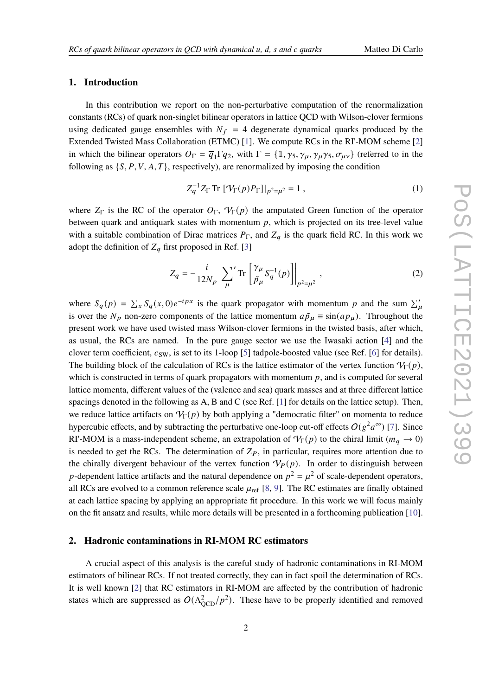#### **1. Introduction**

In this contribution we report on the non-perturbative computation of the renormalization constants (RCs) of quark non-singlet bilinear operators in lattice QCD with Wilson-clover fermions using dedicated gauge ensembles with  $N_f = 4$  degenerate dynamical quarks produced by the Extended Twisted Mass Collaboration (ETMC) [\[1\]](#page-8-0). We compute RCs in the RI'-MOM scheme [\[2\]](#page-8-1) in which the bilinear operators  $O_{\Gamma} = \overline{q}_1 \Gamma q_2$ , with  $\Gamma = \{ \mathbb{1}, \gamma_5, \gamma_{\mu}, \gamma_{\mu} \gamma_5, \sigma_{\mu\nu} \}$  (referred to in the following as  $\{S, P, V, A, T\}$ , respectively), are renormalized by imposing the condition

$$
Z_q^{-1} Z_{\Gamma} \text{Tr} \left[ \mathcal{V}_{\Gamma}(p) P_{\Gamma} \right] \big|_{p^2 = \mu^2} = 1 , \tag{1}
$$

where  $Z_{\Gamma}$  is the RC of the operator  $O_{\Gamma}$ ,  $\mathcal{V}_{\Gamma}(p)$  the amputated Green function of the operator between quark and antiquark states with momentum  $p$ , which is projected on its tree-level value with a suitable combination of Dirac matrices  $P_{\Gamma}$ , and  $Z_q$  is the quark field RC. In this work we adopt the definition of  $Z_q$  first proposed in Ref. [\[3\]](#page-8-2)

$$
Z_{q} = -\frac{i}{12N_{p}} \sum_{\mu}^{\prime} \text{Tr} \left[ \frac{\gamma_{\mu}}{\tilde{p}_{\mu}} S_{q}^{-1}(p) \right]_{p^{2} = \mu^{2}}, \qquad (2)
$$

where  $S_q(p) = \sum_x S_q(x, 0) e^{-ipx}$  is the quark propagator with momentum p and the sum  $\sum_u$ is over the  $N_p$  non-zero components of the lattice momentum  $a\tilde{p}_\mu \equiv \sin(ap_\mu)$ . Throughout the present work we have used twisted mass Wilson-clover fermions in the twisted basis, after which, as usual, the RCs are named. In the pure gauge sector we use the Iwasaki action [\[4\]](#page-8-3) and the clover term coefficient,  $c_{SW}$ , is set to its 1-loop [\[5\]](#page-8-4) tadpole-boosted value (see Ref. [\[6\]](#page-8-5) for details). The building block of the calculation of RCs is the lattice estimator of the vertex function  $V_{\Gamma}(p)$ , which is constructed in terms of quark propagators with momentum  $p$ , and is computed for several lattice momenta, different values of the (valence and sea) quark masses and at three different lattice spacings denoted in the following as A, B and C (see Ref. [\[1\]](#page-8-0) for details on the lattice setup). Then, we reduce lattice artifacts on  $V_{\Gamma}(p)$  by both applying a "democratic filter" on momenta to reduce hypercubic effects, and by subtracting the perturbative one-loop cut-off effects  $O(g^2a^{\infty})$  [\[7\]](#page-8-6). Since RI'-MOM is a mass-independent scheme, an extrapolation of  $V_{\Gamma}(p)$  to the chiral limit ( $m_a \to 0$ ) is needed to get the RCs. The determination of  $Z_P$ , in particular, requires more attention due to the chirally divergent behaviour of the vertex function  $V_P(p)$ . In order to distinguish between p-dependent lattice artifacts and the natural dependence on  $p^2 = \mu^2$  of scale-dependent operators, all RCs are evolved to a common reference scale  $\mu_{ref}$  [\[8,](#page-8-7) [9\]](#page-8-8). The RC estimates are finally obtained at each lattice spacing by applying an appropriate fit procedure. In this work we will focus mainly on the fit ansatz and results, while more details will be presented in a forthcoming publication [\[10\]](#page-8-9).

## <span id="page-1-0"></span>**2. Hadronic contaminations in RI-MOM RC estimators**

A crucial aspect of this analysis is the careful study of hadronic contaminations in RI-MOM estimators of bilinear RCs. If not treated correctly, they can in fact spoil the determination of RCs. It is well known [\[2\]](#page-8-1) that RC estimators in RI-MOM are affected by the contribution of hadronic states which are suppressed as  $O(\Lambda_{\text{OCD}}^2/p^2)$ . These have to be properly identified and removed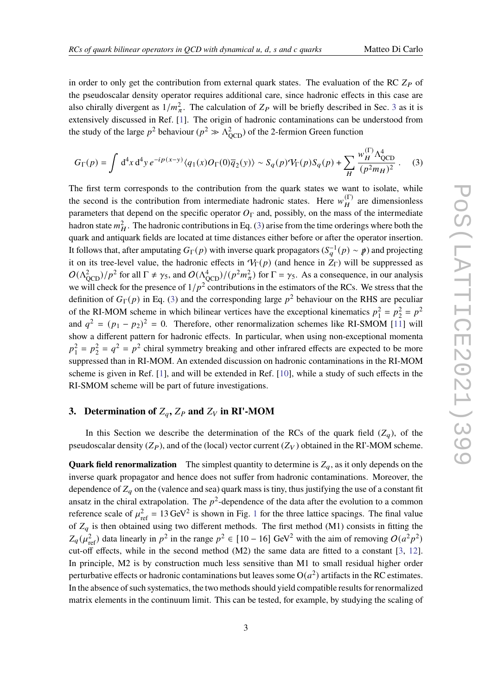in order to only get the contribution from external quark states. The evaluation of the RC  $Z_P$  of the pseudoscalar density operator requires additional care, since hadronic effects in this case are also chirally divergent as  $1/m_{\pi}^2$ . The calculation of  $Z_P$  will be briefly described in Sec. [3](#page-2-0) as it is extensively discussed in Ref. [\[1\]](#page-8-0). The origin of hadronic contaminations can be understood from the study of the large  $p^2$  behaviour ( $p^2 \gg \Lambda_{\text{QCD}}^2$ ) of the 2-fermion Green function

<span id="page-2-1"></span>
$$
G_{\Gamma}(p) = \int d^4x \, d^4y \, e^{-ip(x-y)} \langle q_1(x)O_{\Gamma}(0)\overline{q}_2(y)\rangle \sim S_q(p)\mathcal{V}_{\Gamma}(p)S_q(p) + \sum_H \frac{w_H^{(\Gamma)}\Lambda_{QCD}^4}{(p^2m_H)^2} \,. \tag{3}
$$

The first term corresponds to the contribution from the quark states we want to isolate, while the second is the contribution from intermediate hadronic states. Here  $w_H^{(\Gamma)}$  are dimensionless parameters that depend on the specific operator  $O_{\Gamma}$  and, possibly, on the mass of the intermediate hadron state  $m_H^2$ . The hadronic contributions in Eq. [\(3\)](#page-2-1) arise from the time orderings where both the quark and antiquark fields are located at time distances either before or after the operator insertion. It follows that, after amputating  $G_{\Gamma}(p)$  with inverse quark propagators  $(S_q^{-1}(p) \sim p)$  and projecting it on its tree-level value, the hadronic effects in  $V_{\Gamma}(p)$  (and hence in  $Z_{\Gamma}$ ) will be suppressed as  $O(\Lambda_{\text{OCD}}^2)/p^2$  for all  $\Gamma \neq \gamma_5$ , and  $O(\Lambda_{\text{OCD}}^4)/(p^2 m_\pi^2)$  for  $\Gamma = \gamma_5$ . As a consequence, in our analysis we will check for the presence of  $1/p^2$  contributions in the estimators of the RCs. We stress that the definition of  $G_{\Gamma}(p)$  in Eq. [\(3\)](#page-2-1) and the corresponding large  $p^2$  behaviour on the RHS are peculiar of the RI-MOM scheme in which bilinear vertices have the exceptional kinematics  $p_1^2 = p_2^2 = p^2$ and  $q^2 = (p_1 - p_2)^2 = 0$ . Therefore, other renormalization schemes like RI-SMOM [\[11\]](#page-8-10) will show a different pattern for hadronic effects. In particular, when using non-exceptional momenta  $p_1^2 = p_2^2 = q^2 = p^2$  chiral symmetry breaking and other infrared effects are expected to be more suppressed than in RI-MOM. An extended discussion on hadronic contaminations in the RI-MOM scheme is given in Ref. [\[1\]](#page-8-0), and will be extended in Ref. [\[10\]](#page-8-9), while a study of such effects in the RI-SMOM scheme will be part of future investigations.

# <span id="page-2-0"></span>**3.** Determination of  $Z_q$ ,  $Z_p$  and  $Z_v$  in RI'-MOM

In this Section we describe the determination of the RCs of the quark field  $(Z_q)$ , of the pseudoscalar density  $(Z_P)$ , and of the (local) vector current  $(Z_V)$  obtained in the RI'-MOM scheme.

**Quark field renormalization** The simplest quantity to determine is  $Z_q$ , as it only depends on the inverse quark propagator and hence does not suffer from hadronic contaminations. Moreover, the dependence of  $Z_q$  on the (valence and sea) quark mass is tiny, thus justifying the use of a constant fit ansatz in the chiral extrapolation. The  $p^2$ -dependence of the data after the evolution to a common reference scale of  $\mu_{\text{ref}}^2 = 13 \text{ GeV}^2$  $\mu_{\text{ref}}^2 = 13 \text{ GeV}^2$  $\mu_{\text{ref}}^2 = 13 \text{ GeV}^2$  is shown in Fig. 1 for the three lattice spacings. The final value of  $Z_q$  is then obtained using two different methods. The first method (M1) consists in fitting the  $Z_q(\mu_{\rm ref}^2)$  data linearly in  $p^2$  in the range  $p^2 \in [10-16]$  GeV<sup>2</sup> with the aim of removing  $O(a^2p^2)$ cut-off effects, while in the second method (M2) the same data are fitted to a constant [\[3,](#page-8-2) [12\]](#page-9-0). In principle, M2 is by construction much less sensitive than M1 to small residual higher order perturbative effects or hadronic contaminations but leaves some  $O(a^2)$  artifacts in the RC estimates. In the absence of such systematics, the two methods should yield compatible results for renormalized matrix elements in the continuum limit. This can be tested, for example, by studying the scaling of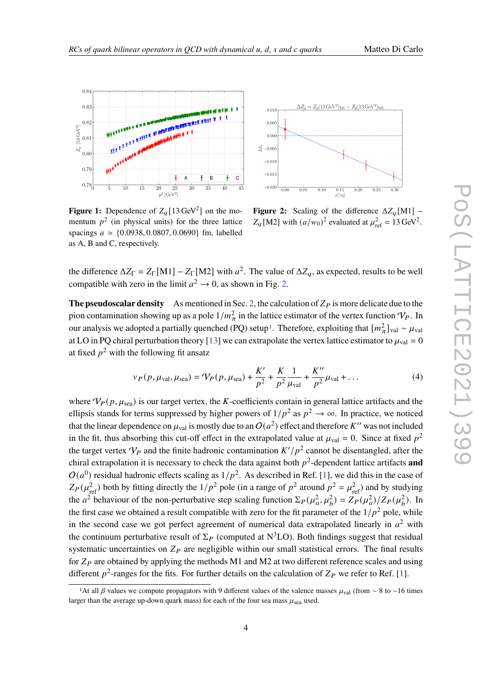

<span id="page-3-0"></span>

**Figure 1:** Dependence of  $Z_q$  [13 GeV<sup>2</sup>] on the momentum  $p^2$  (in physical units) for the three lattice spacings  $a \approx \{0.0938, 0.0807, 0.0690\}$  fm, labelled as A, B and C, respectively.



**Figure 2:** Scaling of the difference  $\Delta Z_q$ [M1] –  $Z_q$ [M2] with  $(a/w_0)^2$  evaluated at  $\mu_{\text{ref}}^2 = 13 \text{ GeV}^2$ .

the difference  $\Delta Z_{\Gamma} = Z_{\Gamma} [M1] - Z_{\Gamma} [M2]$  with  $a^2$ . The value of  $\Delta Z_q$ , as expected, results to be well compatible with zero in the limit  $a^2 \rightarrow 0$ , as shown in Fig. [2.](#page-3-0)

**The pseudoscalar density** As mentioned in Sec. [2,](#page-1-0) the calculation of  $Z_p$  is more delicate due to the pion contamination showing up as a pole  $1/m_\pi^2$  in the lattice estimator of the vertex function  $\mathcal{V}_P$ . In our analysis we adopted a partially quenched (PQ) setup<sup>[1](#page-3-1)</sup>. Therefore, exploiting that  $[m_{\pi}^2]_{\text{val}} \sim \mu_{\text{val}}$ at LO in PQ chiral perturbation theory [\[13\]](#page-9-1) we can extrapolate the vertex lattice estimator to  $\mu_{val} = 0$ at fixed  $p^2$  with the following fit ansatz

$$
v_P(p, \mu_{\text{val}}, \mu_{\text{sea}}) = V_P(p, \mu_{\text{sea}}) + \frac{K'}{p^2} + \frac{K}{p^2} \frac{1}{\mu_{\text{val}}} + \frac{K''}{p^2} \mu_{\text{val}} + \dots
$$
 (4)

where  $V_P(p, \mu_{\text{sea}})$  is our target vertex, the K-coefficients contain in general lattice artifacts and the ellipsis stands for terms suppressed by higher powers of  $1/p^2$  as  $p^2 \to \infty$ . In practice, we noticed that the linear dependence on  $\mu_{val}$  is mostly due to an  $O(a^2)$  effect and therefore  $K''$  was not included in the fit, thus absorbing this cut-off effect in the extrapolated value at  $\mu_{val} = 0$ . Since at fixed  $p^2$ the target vertex  $V_P$  and the finite hadronic contamination  $K'/p^2$  cannot be disentangled, after the chiral extrapolation it is necessary to check the data against both  $p^2$ -dependent lattice artifacts **and**  $O(a^0)$  residual hadronic effects scaling as  $1/p^2$ . As described in Ref. [\[1\]](#page-8-0), we did this in the case of  $Z_P(\mu_{\text{ref}}^2)$  both by fitting directly the  $1/p^2$  pole (in a range of  $p^2$  around  $p^2 = \mu_{\text{ref}}^2$ ) and by studying the  $a^2$  behaviour of the non-perturbative step scaling function  $\Sigma_P(\mu_a^2, \mu_b^2) = \overline{Z_P(\mu_a^2)/Z_P(\mu_b^2)}$ . In the first case we obtained a result compatible with zero for the fit parameter of the  $1/p^2$  pole, while in the second case we got perfect agreement of numerical data extrapolated linearly in  $a^2$  with the continuum perturbative result of  $\Sigma_P$  (computed at  $N^3LO$ ). Both findings suggest that residual systematic uncertainties on  $Z_P$  are negligible within our small statistical errors. The final results for  $Z_P$  are obtained by applying the methods M1 and M2 at two different reference scales and using different  $p^2$ -ranges for the fits. For further details on the calculation of  $Z_P$  we refer to Ref. [\[1\]](#page-8-0).

<span id="page-3-1"></span><sup>&</sup>lt;sup>1</sup>At all  $\beta$  values we compute propagators with 9 different values of the valence masses  $\mu_{\text{val}}$  (from ~ 8 to ~16 times larger than the average up-down quark mass) for each of the four sea mass  $\mu_{sea}$  used.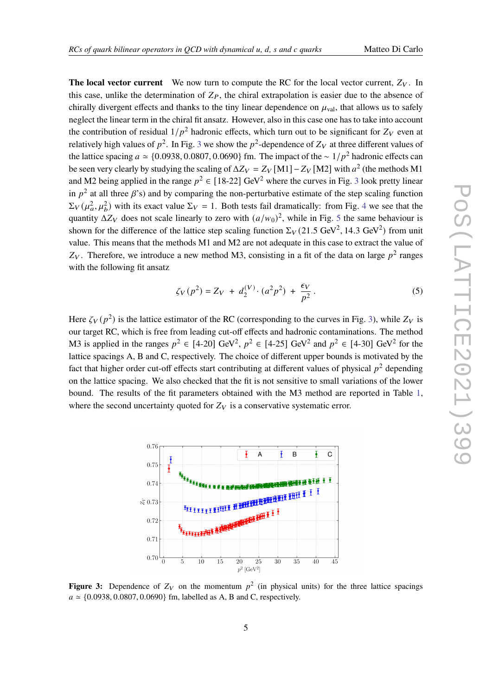**The local vector current** We now turn to compute the RC for the local vector current,  $Z_V$ . In this case, unlike the determination of  $Z_P$ , the chiral extrapolation is easier due to the absence of chirally divergent effects and thanks to the tiny linear dependence on  $\mu_{\text{val}}$ , that allows us to safely neglect the linear term in the chiral fit ansatz. However, also in this case one has to take into account the contribution of residual  $1/p^2$  hadronic effects, which turn out to be significant for  $Z_V$  even at relatively high values of  $p^2$ . In Fig. [3](#page-4-0) we show the  $p^2$ -dependence of  $Z_V$  at three different values of the lattice spacing  $a \approx \{0.0938, 0.0807, 0.0690\}$  fm. The impact of the  $\sim 1/p^2$  hadronic effects can be seen very clearly by studying the scaling of  $\Delta Z_V = Z_V \text{[M1]} - Z_V \text{[M2]}$  with  $a^2$  (the methods M1 and M2 being applied in the range  $p^2 \in [18-22]$  GeV<sup>2</sup> where the curves in Fig. [3](#page-4-0) look pretty linear in  $p^2$  at all three  $\beta$ 's) and by comparing the non-perturbative estimate of the step scaling function  $\Sigma_V(\mu_a^2, \mu_b^2)$  with its exact value  $\Sigma_V = 1$ . Both tests fail dramatically: from Fig. [4](#page-5-0) we see that the quantity  $\Delta Z_V$  does not scale linearly to zero with  $(a/w_0)^2$ , while in Fig. [5](#page-5-0) the same behaviour is shown for the difference of the lattice step scaling function  $\Sigma_V(21.5 \text{ GeV}^2, 14.3 \text{ GeV}^2)$  from unit value. This means that the methods M1 and M2 are not adequate in this case to extract the value of  $Z_V$ . Therefore, we introduce a new method M3, consisting in a fit of the data on large  $p^2$  ranges with the following fit ansatz

<span id="page-4-1"></span>
$$
\zeta_V(p^2) = Z_V + d_2^{(V)} \cdot (a^2 p^2) + \frac{\epsilon_V}{p^2} \,. \tag{5}
$$

Here  $\zeta_V(p^2)$  is the lattice estimator of the RC (corresponding to the curves in Fig. [3\)](#page-4-0), while  $Z_V$  is our target RC, which is free from leading cut-off effects and hadronic contaminations. The method M3 is applied in the ranges  $p^2 \in [4\text{-}20]$  GeV<sup>2</sup>,  $p^2 \in [4\text{-}25]$  GeV<sup>2</sup> and  $p^2 \in [4\text{-}30]$  GeV<sup>2</sup> for the lattice spacings A, B and C, respectively. The choice of different upper bounds is motivated by the fact that higher order cut-off effects start contributing at different values of physical  $p^2$  depending on the lattice spacing. We also checked that the fit is not sensitive to small variations of the lower bound. The results of the fit parameters obtained with the M3 method are reported in Table [1,](#page-5-1) where the second uncertainty quoted for  $Z_V$  is a conservative systematic error.

<span id="page-4-0"></span>

**Figure 3:** Dependence of  $Z_V$  on the momentum  $p^2$  (in physical units) for the three lattice spacings  $a \approx \{0.0938, 0.0807, 0.0690\}$  fm, labelled as A, B and C, respectively.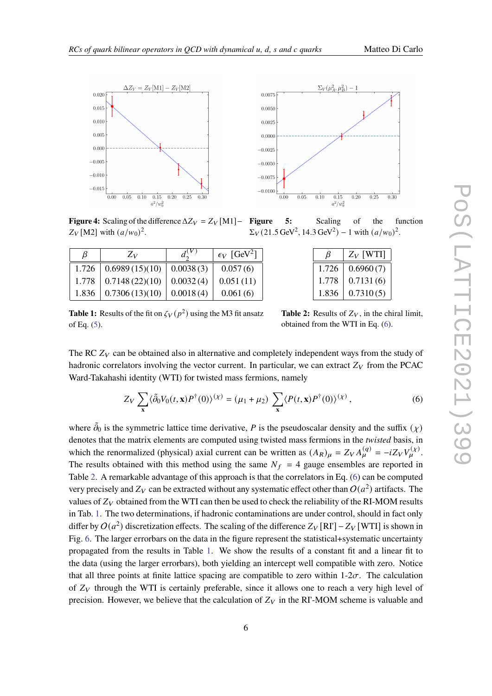<span id="page-5-0"></span>

**Figure 4:** Scaling of the difference  $\Delta Z_V = Z_V \,[\text{M1}] - \text{Figure}$  $Z_V$  [M2] with  $(a/w_0)^2$ .

<span id="page-5-1"></span>

| B       | $Z_V$          |           | $\epsilon_V$ [GeV <sup>2</sup> ] |
|---------|----------------|-----------|----------------------------------|
| 1.726   | 0.6989(15)(10) | 0.0038(3) | 0.057(6)                         |
| $1.778$ | 0.7148(22)(10) | 0.0032(4) | 0.051(11)                        |
| 1.836   | 0.7306(13)(10) | 0.0018(4) | 0.061(6)                         |

**5:** Scaling of the function  $\Sigma_V$ (21.5 GeV<sup>2</sup>, 14.3 GeV<sup>2</sup>) – 1 with  $(a/w_0)^2$ .

| ß     | $Z_V$ [WTI] |
|-------|-------------|
| 1.726 | 0.6960(7)   |
| 1.778 | 0.7131(6)   |
| 1.836 | 0.7310(5)   |

**Table 1:** Results of the fit on  $\zeta_V(p^2)$  using the M3 fit ansatz of Eq. [\(5\)](#page-4-1).

**Table 2:** Results of  $Z_V$ , in the chiral limit, obtained from the WTI in Eq. [\(6\)](#page-5-2).

The RC  $Z_V$  can be obtained also in alternative and completely independent ways from the study of hadronic correlators involving the vector current. In particular, we can extract  $Z_V$  from the PCAC Ward-Takahashi identity (WTI) for twisted mass fermions, namely

<span id="page-5-2"></span>
$$
Z_V \sum_{\mathbf{x}} \langle \tilde{\partial}_0 V_0(t, \mathbf{x}) P^{\dagger}(0) \rangle^{(\chi)} = (\mu_1 + \mu_2) \sum_{\mathbf{x}} \langle P(t, \mathbf{x}) P^{\dagger}(0) \rangle^{(\chi)}, \tag{6}
$$

where  $\tilde{\partial}_0$  is the symmetric lattice time derivative, P is the pseudoscalar density and the suffix  $(\chi)$ denotes that the matrix elements are computed using twisted mass fermions in the *twisted* basis, in which the renormalized (physical) axial current can be written as  $(A_R)_{\mu} = Z_V A_{\mu}^{(q)} = -iZ_V V_{\mu}^{(\chi)}$ . The results obtained with this method using the same  $N_f = 4$  gauge ensembles are reported in Table [2.](#page-5-1) A remarkable advantage of this approach is that the correlators in Eq. [\(6\)](#page-5-2) can be computed very precisely and  $Z_V$  can be extracted without any systematic effect other than  $O(a^2)$  artifacts. The values of  $Z_V$  obtained from the WTI can then be used to check the reliability of the RI-MOM results in Tab. [1.](#page-5-1) The two determinations, if hadronic contaminations are under control, should in fact only differ by  $O(a^2)$  discretization effects. The scaling of the difference  $Z_V[\text{R}]\text{--}Z_V[\text{W}]\text{--}Z_V[\text{W}]\text{--}Z_V[\text{W}]\text{--}Z_V[\text{W}]\text{--}Z_V[\text{W}]\text{--}Z_V[\text{W}]\text{--}Z_V[\text{W}]\text{--}Z_V[\text{W}]\text{--}Z_V[\text{W}]\text{--}Z_V[\text{W}]\text{--}Z_V[\text{W}]\text{--}Z_V[\text$ Fig. [6.](#page-6-0) The larger errorbars on the data in the figure represent the statistical+systematic uncertainty propagated from the results in Table [1.](#page-5-1) We show the results of a constant fit and a linear fit to the data (using the larger errorbars), both yielding an intercept well compatible with zero. Notice that all three points at finite lattice spacing are compatible to zero within  $1-2\sigma$ . The calculation of  $Z_V$  through the WTI is certainly preferable, since it allows one to reach a very high level of precision. However, we believe that the calculation of  $Z_V$  in the RI'-MOM scheme is valuable and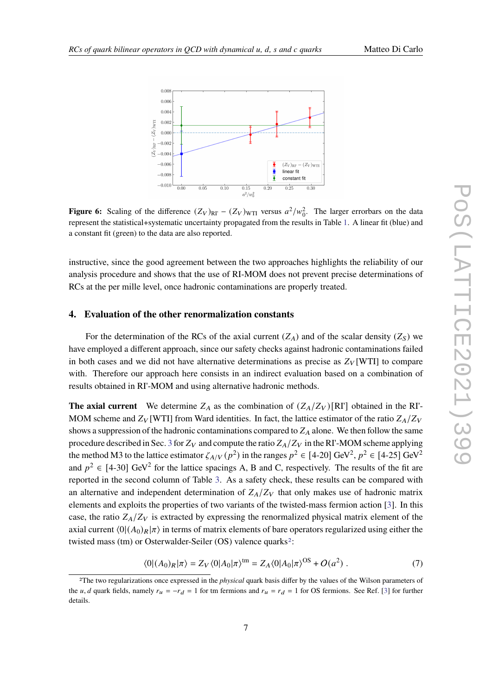<span id="page-6-0"></span>

**Figure 6:** Scaling of the difference  $(Z_V)_{\text{RII}} - (Z_V)_{\text{WII}}$  versus  $a^2/w_0^2$ . The larger errorbars on the data represent the statistical+systematic uncertainty propagated from the results in Table [1.](#page-5-1) A linear fit (blue) and a constant fit (green) to the data are also reported.

instructive, since the good agreement between the two approaches highlights the reliability of our analysis procedure and shows that the use of RI-MOM does not prevent precise determinations of RCs at the per mille level, once hadronic contaminations are properly treated.

### **4. Evaluation of the other renormalization constants**

For the determination of the RCs of the axial current  $(Z_A)$  and of the scalar density  $(Z_S)$  we have employed a different approach, since our safety checks against hadronic contaminations failed in both cases and we did not have alternative determinations as precise as  $Z_V[\text{WTI}]$  to compare with. Therefore our approach here consists in an indirect evaluation based on a combination of results obtained in RI'-MOM and using alternative hadronic methods.

**The axial current** We determine  $Z_A$  as the combination of  $(Z_A/Z_V)[RI]$  obtained in the RI'-MOM scheme and  $Z_V$  [WTI] from Ward identities. In fact, the lattice estimator of the ratio  $Z_A/Z_V$ shows a suppression of the hadronic contaminations compared to  $Z_A$  alone. We then follow the same procedure described in Sec. [3](#page-2-0) for  $Z_V$  and compute the ratio  $Z_A/Z_V$  in the RI'-MOM scheme applying the method M3 to the lattice estimator  $\zeta_{A/V}(p^2)$  in the ranges  $p^2 \in [4\text{-}20]$  GeV<sup>2</sup>,  $p^2 \in [4\text{-}25]$  GeV<sup>2</sup> and  $p^2 \in [4-30]$  GeV<sup>2</sup> for the lattice spacings A, B and C, respectively. The results of the fit are reported in the second column of Table [3.](#page-7-0) As a safety check, these results can be compared with an alternative and independent determination of  $Z_A/Z_V$  that only makes use of hadronic matrix elements and exploits the properties of two variants of the twisted-mass fermion action [\[3\]](#page-8-2). In this case, the ratio  $Z_A/Z_V$  is extracted by expressing the renormalized physical matrix element of the axial current  $\langle 0| (A_0)_R | \pi \rangle$  in terms of matrix elements of bare operators regularized using either the twisted mass (tm) or Osterwalder-Seiler (OS) valence quarks<sup>[2](#page-6-1)</sup>:

$$
\langle 0|(A_0)_R|\pi\rangle = Z_V \langle 0|A_0|\pi\rangle^{\text{tm}} = Z_A \langle 0|A_0|\pi\rangle^{\text{OS}} + O(a^2) . \tag{7}
$$

<span id="page-6-1"></span><sup>2</sup>The two regularizations once expressed in the *physical* quark basis differ by the values of the Wilson parameters of the u, d quark fields, namely  $r_u = -r_d = 1$  for tm fermions and  $r_u = r_d = 1$  for OS fermions. See Ref. [\[3\]](#page-8-2) for further details.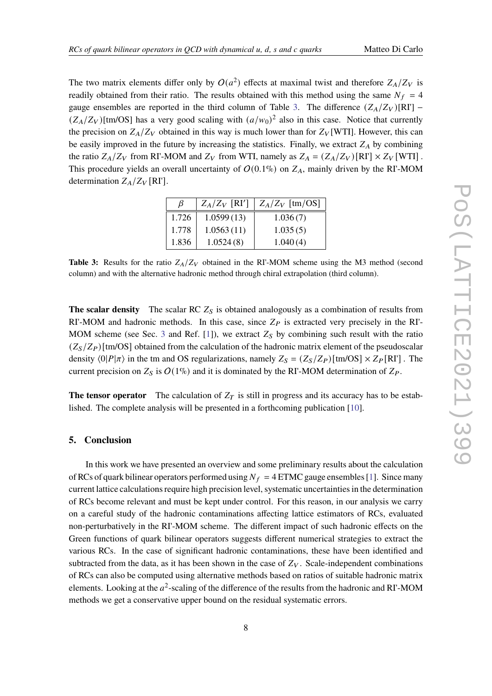The two matrix elements differ only by  $O(a^2)$  effects at maximal twist and therefore  $Z_A/Z_V$  is readily obtained from their ratio. The results obtained with this method using the same  $N_f = 4$ gauge ensembles are reported in the third column of Table [3.](#page-7-0) The difference  $(Z_A/Z_V)[\text{R}]$  –  $(Z_A/Z_V)$ [tm/OS] has a very good scaling with  $(a/w_0)^2$  also in this case. Notice that currently the precision on  $Z_A/Z_V$  obtained in this way is much lower than for  $Z_V$  [WTI]. However, this can be easily improved in the future by increasing the statistics. Finally, we extract  $Z_A$  by combining the ratio  $Z_A/Z_V$  from RI'-MOM and  $Z_V$  from WTI, namely as  $Z_A = (Z_A/Z_V)[RI'] \times Z_V [WTI]$ . This procedure yields an overall uncertainty of  $O(0.1\%)$  on  $Z_A$ , mainly driven by the RI'-MOM determination  $Z_A/Z_V$  [RI'].

| B     | $Z_A/Z_V$ [RI'] | $Z_A/Z_V$ [tm/OS] |
|-------|-----------------|-------------------|
| 1.726 | 1.0599(13)      | 1.036(7)          |
| 1.778 | 1.0563(11)      | 1.035(5)          |
| 1.836 | 1.0524(8)       | 1.040(4)          |

<span id="page-7-0"></span>**Table 3:** Results for the ratio  $Z_A/Z_V$  obtained in the RI'-MOM scheme using the M3 method (second column) and with the alternative hadronic method through chiral extrapolation (third column).

**The scalar density** The scalar RC  $Z<sub>S</sub>$  is obtained analogously as a combination of results from RI'-MOM and hadronic methods. In this case, since  $Z_P$  is extracted very precisely in the RI'-MOM scheme (see Sec. [3](#page-2-0) and Ref. [\[1\]](#page-8-0)), we extract  $Z_s$  by combining such result with the ratio  $(Z<sub>S</sub>/Z<sub>P</sub>)$ [tm/OS] obtained from the calculation of the hadronic matrix element of the pseudoscalar density  $\langle 0|P|\pi \rangle$  in the tm and OS regularizations, namely  $Z_s = (Z_s/Z_P)[\text{tm/OS}] \times Z_P[\text{RI}']$ . The current precision on  $Z_s$  is  $O(1\%)$  and it is dominated by the RI'-MOM determination of  $Z_P$ .

**The tensor operator** The calculation of  $Z_T$  is still in progress and its accuracy has to be established. The complete analysis will be presented in a forthcoming publication [\[10\]](#page-8-9).

### **5. Conclusion**

In this work we have presented an overview and some preliminary results about the calculation of RCs of quark bilinear operators performed using  $N_f = 4$  ETMC gauge ensembles [\[1\]](#page-8-0). Since many current lattice calculations require high precision level, systematic uncertainties in the determination of RCs become relevant and must be kept under control. For this reason, in our analysis we carry on a careful study of the hadronic contaminations affecting lattice estimators of RCs, evaluated non-perturbatively in the RI'-MOM scheme. The different impact of such hadronic effects on the Green functions of quark bilinear operators suggests different numerical strategies to extract the various RCs. In the case of significant hadronic contaminations, these have been identified and subtracted from the data, as it has been shown in the case of  $Z_V$ . Scale-independent combinations of RCs can also be computed using alternative methods based on ratios of suitable hadronic matrix elements. Looking at the  $a^2$ -scaling of the difference of the results from the hadronic and RI'-MOM methods we get a conservative upper bound on the residual systematic errors.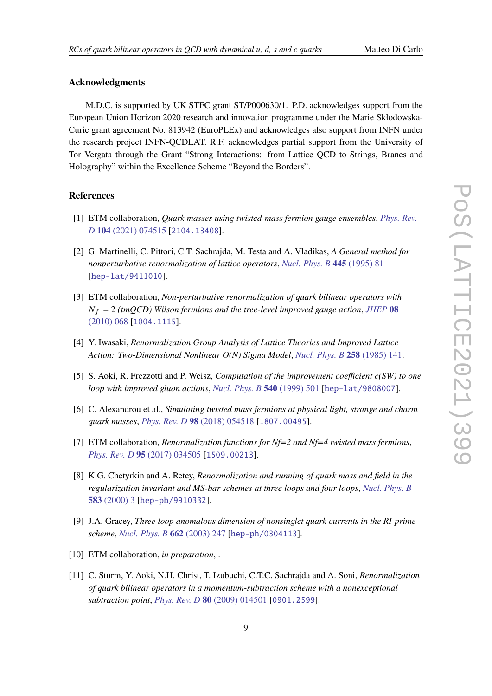# **Acknowledgments**

M.D.C. is supported by UK STFC grant ST/P000630/1. P.D. acknowledges support from the European Union Horizon 2020 research and innovation programme under the Marie Skłodowska-Curie grant agreement No. 813942 (EuroPLEx) and acknowledges also support from INFN under the research project INFN-QCDLAT. R.F. acknowledges partial support from the University of Tor Vergata through the Grant "Strong Interactions: from Lattice QCD to Strings, Branes and Holography" within the Excellence Scheme "Beyond the Borders".

# **References**

- <span id="page-8-0"></span>[1] ETM collaboration, *Quark masses using twisted-mass fermion gauge ensembles*, *[Phys. Rev.](https://doi.org/10.1103/PhysRevD.104.074515) D* **104** [\(2021\) 074515](https://doi.org/10.1103/PhysRevD.104.074515) [[2104.13408](https://arxiv.org/abs/2104.13408)].
- <span id="page-8-1"></span>[2] G. Martinelli, C. Pittori, C.T. Sachrajda, M. Testa and A. Vladikas, *A General method for nonperturbative renormalization of lattice operators*, *[Nucl. Phys. B](https://doi.org/10.1016/0550-3213(95)00126-D)* **445** (1995) 81 [[hep-lat/9411010](https://arxiv.org/abs/hep-lat/9411010)].
- <span id="page-8-2"></span>[3] ETM collaboration, *Non-perturbative renormalization of quark bilinear operators with*  $N_f = 2$  *(tmQCD)* Wilson fermions and the tree-level improved gauge action, [JHEP](https://doi.org/10.1007/JHEP08(2010)068) 08 [\(2010\) 068](https://doi.org/10.1007/JHEP08(2010)068) [[1004.1115](https://arxiv.org/abs/1004.1115)].
- <span id="page-8-3"></span>[4] Y. Iwasaki, *Renormalization Group Analysis of Lattice Theories and Improved Lattice Action: Two-Dimensional Nonlinear O(N) Sigma Model*, *[Nucl. Phys. B](https://doi.org/10.1016/0550-3213(85)90606-6)* **258** (1985) 141.
- <span id="page-8-4"></span>[5] S. Aoki, R. Frezzotti and P. Weisz, *Computation of the improvement coefficient c(SW) to one loop with improved gluon actions*, *[Nucl. Phys. B](https://doi.org/10.1016/S0550-3213(98)00742-1)* **540** (1999) 501 [[hep-lat/9808007](https://arxiv.org/abs/hep-lat/9808007)].
- <span id="page-8-5"></span>[6] C. Alexandrou et al., *Simulating twisted mass fermions at physical light, strange and charm quark masses*, *[Phys. Rev. D](https://doi.org/10.1103/PhysRevD.98.054518)* **98** (2018) 054518 [[1807.00495](https://arxiv.org/abs/1807.00495)].
- <span id="page-8-6"></span>[7] ETM collaboration, *Renormalization functions for Nf=2 and Nf=4 twisted mass fermions*, *[Phys. Rev. D](https://doi.org/10.1103/PhysRevD.95.034505)* **95** (2017) 034505 [[1509.00213](https://arxiv.org/abs/1509.00213)].
- <span id="page-8-7"></span>[8] K.G. Chetyrkin and A. Retey, *Renormalization and running of quark mass and field in the regularization invariant and MS-bar schemes at three loops and four loops*, *[Nucl. Phys. B](https://doi.org/10.1016/S0550-3213(00)00331-X)* **583** [\(2000\) 3](https://doi.org/10.1016/S0550-3213(00)00331-X) [[hep-ph/9910332](https://arxiv.org/abs/hep-ph/9910332)].
- <span id="page-8-8"></span>[9] J.A. Gracey, *Three loop anomalous dimension of nonsinglet quark currents in the RI-prime scheme*, *[Nucl. Phys. B](https://doi.org/10.1016/S0550-3213(03)00335-3)* **662** (2003) 247 [[hep-ph/0304113](https://arxiv.org/abs/hep-ph/0304113)].
- <span id="page-8-9"></span>[10] ETM collaboration, *in preparation*, .
- <span id="page-8-10"></span>[11] C. Sturm, Y. Aoki, N.H. Christ, T. Izubuchi, C.T.C. Sachrajda and A. Soni, *Renormalization of quark bilinear operators in a momentum-subtraction scheme with a nonexceptional subtraction point*, *[Phys. Rev. D](https://doi.org/10.1103/PhysRevD.80.014501)* **80** (2009) 014501 [[0901.2599](https://arxiv.org/abs/0901.2599)].